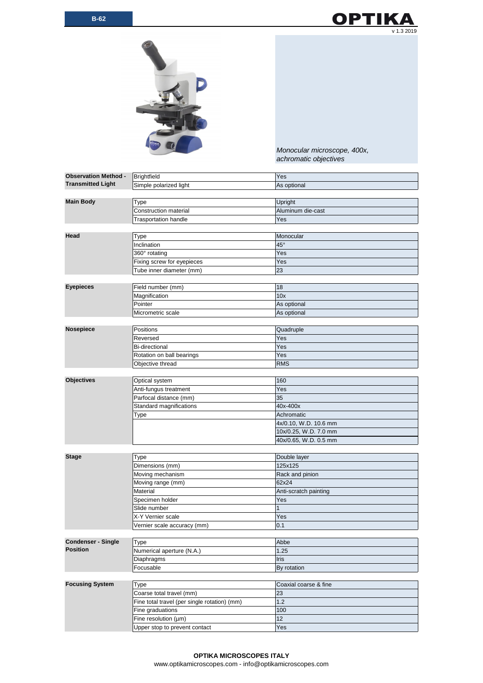



*Monocular microscope, 400x, achromatic objectives*

| <b>Observation Method -</b><br><b>Transmitted Light</b> | Brightfield                  | Yes                   |
|---------------------------------------------------------|------------------------------|-----------------------|
|                                                         | Simple polarized light       | As optional           |
|                                                         |                              |                       |
| <b>Main Body</b>                                        | Type                         | Upright               |
|                                                         | <b>Construction material</b> | Aluminum die-cast     |
|                                                         | <b>Trasportation handle</b>  | Yes                   |
|                                                         |                              |                       |
| Head                                                    | Type                         | Monocular             |
|                                                         | Inclination                  | $45^{\circ}$          |
|                                                         | 360° rotating                | Yes                   |
|                                                         | Fixing screw for eyepieces   | Yes                   |
|                                                         | Tube inner diameter (mm)     | 23                    |
|                                                         |                              |                       |
| <b>Eyepieces</b>                                        | Field number (mm)            | 18                    |
|                                                         | Magnification                | 10x                   |
|                                                         | Pointer                      | As optional           |
|                                                         | Micrometric scale            | As optional           |
|                                                         |                              |                       |
| <b>Nosepiece</b>                                        | Positions                    | Quadruple             |
|                                                         | Reversed                     | Yes                   |
|                                                         | <b>Bi-directional</b>        | Yes                   |
|                                                         | Rotation on ball bearings    | Yes                   |
|                                                         | Objective thread             | <b>RMS</b>            |
|                                                         |                              |                       |
| <b>Objectives</b>                                       | Optical system               | 160                   |
|                                                         | Anti-fungus treatment        | Yes                   |
|                                                         | Parfocal distance (mm)       | 35                    |
|                                                         | Standard magnifications      | 40x-400x              |
|                                                         | Type                         | Achromatic            |
|                                                         |                              | 4x/0.10, W.D. 10.6 mm |
|                                                         |                              | 10x/0.25, W.D. 7.0 mm |
|                                                         |                              | 40x/0.65, W.D. 0.5 mm |
|                                                         |                              |                       |
| <b>Stage</b>                                            | Type                         | Double layer          |
|                                                         | Dimensions (mm)              | 125x125               |
|                                                         | Moving mechanism             | Rack and pinion       |
|                                                         | Moving range (mm)            | 62x24                 |
|                                                         | Material                     | Anti-scratch painting |
|                                                         | Specimen holder              | Yes                   |
|                                                         | Slide number                 | 1                     |
|                                                         | X-Y Vernier scale            | Yes                   |
|                                                         | Vernier scale accuracy (mm)  | 0.1                   |

| <b>Condenser - Single</b> | Type                      | Abbe        |
|---------------------------|---------------------------|-------------|
| <b>Position</b>           | Numerical aperture (N.A.) | 1.25        |
|                           | Diaphragms                | <b>Iris</b> |
|                           | Focusable                 | By rotation |

| <b>Focusing System</b> | Type                                         | Coaxial coarse & fine |
|------------------------|----------------------------------------------|-----------------------|
|                        | Coarse total travel (mm)                     | 23                    |
|                        | Fine total travel (per single rotation) (mm) | 1.2                   |
|                        | Fine graduations                             | 100                   |
|                        | Fine resolution (µm)                         | 12                    |
|                        | Upper stop to prevent contact                | Yes                   |

## **OPTIKA MICROSCOPES ITALY** www.optikamicroscopes.com - info@optikamicroscopes.com